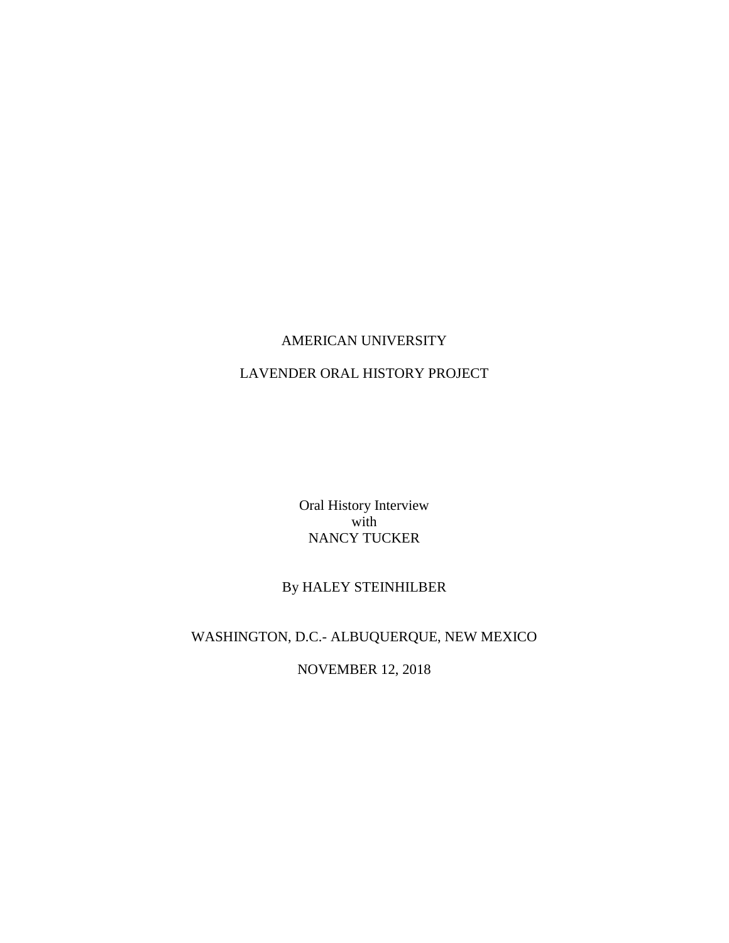## AMERICAN UNIVERSITY

# LAVENDER ORAL HISTORY PROJECT

Oral History Interview with NANCY TUCKER

# By HALEY STEINHILBER

# WASHINGTON, D.C.- ALBUQUERQUE, NEW MEXICO

NOVEMBER 12, 2018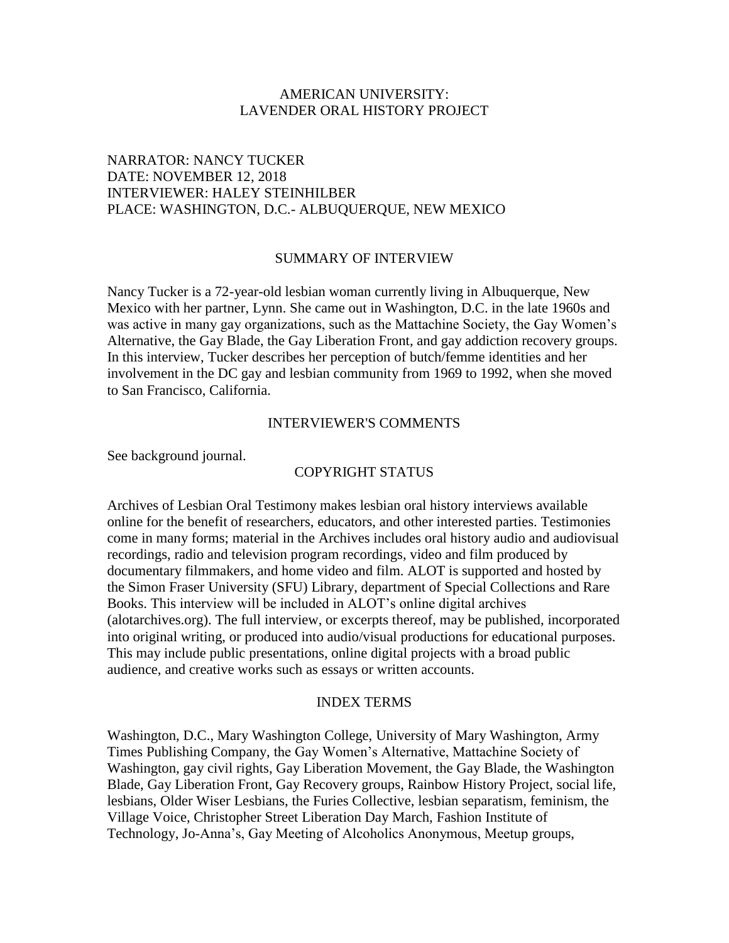### AMERICAN UNIVERSITY: LAVENDER ORAL HISTORY PROJECT

## NARRATOR: NANCY TUCKER DATE: NOVEMBER 12, 2018 INTERVIEWER: HALEY STEINHILBER PLACE: WASHINGTON, D.C.- ALBUQUERQUE, NEW MEXICO

#### SUMMARY OF INTERVIEW

Nancy Tucker is a 72-year-old lesbian woman currently living in Albuquerque, New Mexico with her partner, Lynn. She came out in Washington, D.C. in the late 1960s and was active in many gay organizations, such as the Mattachine Society, the Gay Women's Alternative, the Gay Blade, the Gay Liberation Front, and gay addiction recovery groups. In this interview, Tucker describes her perception of butch/femme identities and her involvement in the DC gay and lesbian community from 1969 to 1992, when she moved to San Francisco, California.

#### INTERVIEWER'S COMMENTS

See background journal.

### COPYRIGHT STATUS

Archives of Lesbian Oral Testimony makes lesbian oral history interviews available online for the benefit of researchers, educators, and other interested parties. Testimonies come in many forms; material in the Archives includes oral history audio and audiovisual recordings, radio and television program recordings, video and film produced by documentary filmmakers, and home video and film. ALOT is supported and hosted by the Simon Fraser University (SFU) Library, department of Special Collections and Rare Books. This interview will be included in ALOT's online digital archives (alotarchives.org). The full interview, or excerpts thereof, may be published, incorporated into original writing, or produced into audio/visual productions for educational purposes. This may include public presentations, online digital projects with a broad public audience, and creative works such as essays or written accounts.

### INDEX TERMS

Washington, D.C., Mary Washington College, University of Mary Washington, Army Times Publishing Company, the Gay Women's Alternative, Mattachine Society of Washington, gay civil rights, Gay Liberation Movement, the Gay Blade, the Washington Blade, Gay Liberation Front, Gay Recovery groups, Rainbow History Project, social life, lesbians, Older Wiser Lesbians, the Furies Collective, lesbian separatism, feminism, the Village Voice, Christopher Street Liberation Day March, Fashion Institute of Technology, Jo-Anna's, Gay Meeting of Alcoholics Anonymous, Meetup groups,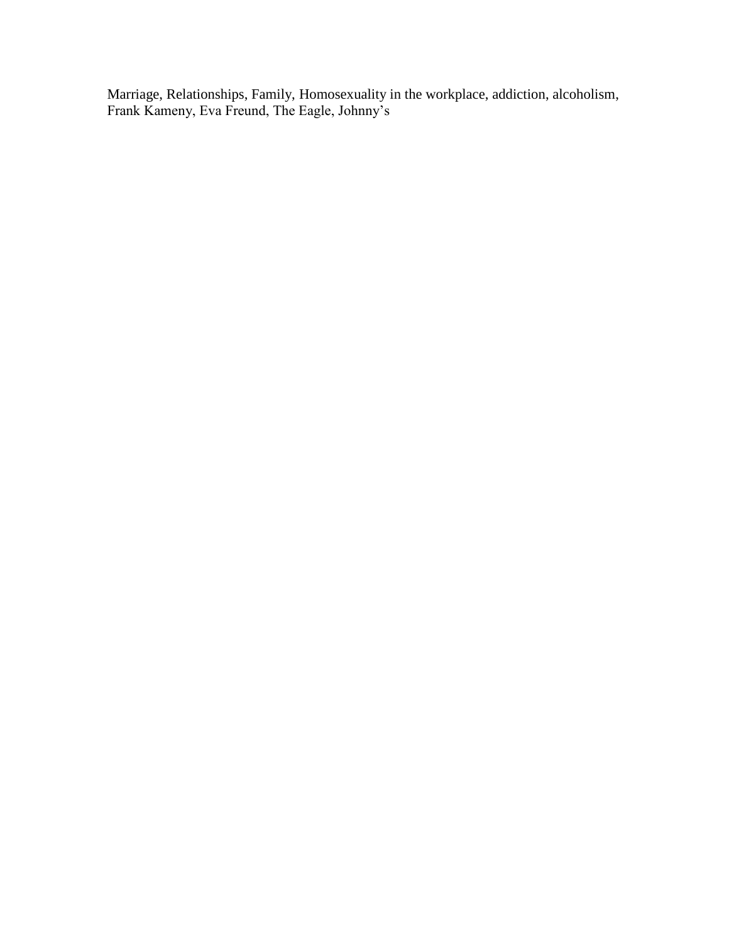Marriage, Relationships, Family, Homosexuality in the workplace, addiction, alcoholism, Frank Kameny, Eva Freund, The Eagle, Johnny's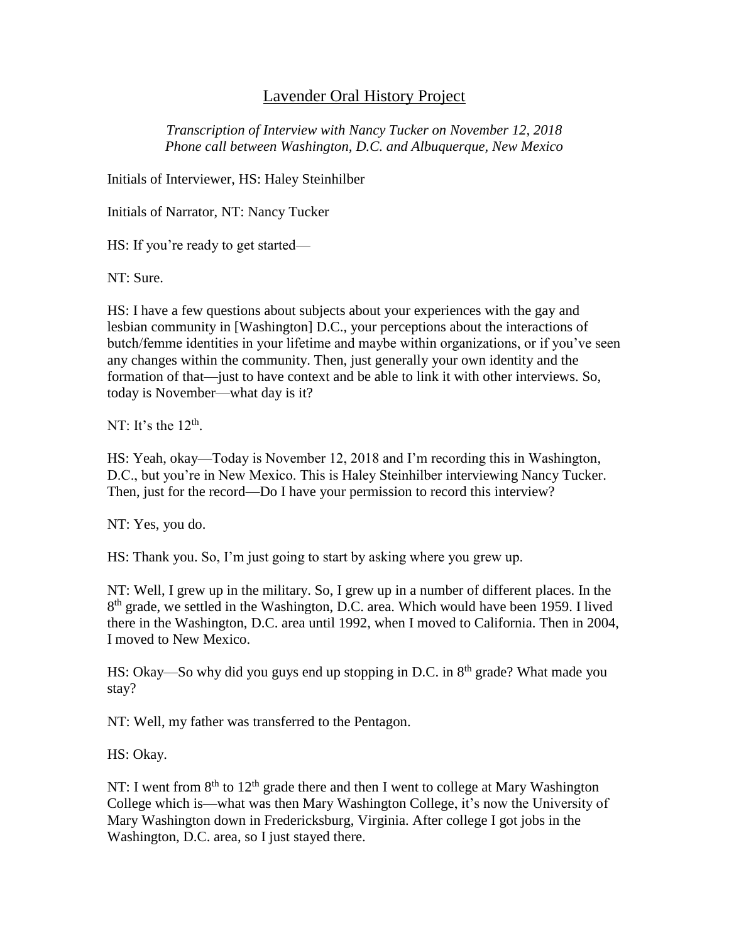# Lavender Oral History Project

*Transcription of Interview with Nancy Tucker on November 12, 2018 Phone call between Washington, D.C. and Albuquerque, New Mexico*

Initials of Interviewer, HS: Haley Steinhilber

Initials of Narrator, NT: Nancy Tucker

HS: If you're ready to get started—

NT: Sure.

HS: I have a few questions about subjects about your experiences with the gay and lesbian community in [Washington] D.C., your perceptions about the interactions of butch/femme identities in your lifetime and maybe within organizations, or if you've seen any changes within the community. Then, just generally your own identity and the formation of that—just to have context and be able to link it with other interviews. So, today is November—what day is it?

NT: It's the  $12<sup>th</sup>$ .

HS: Yeah, okay—Today is November 12, 2018 and I'm recording this in Washington, D.C., but you're in New Mexico. This is Haley Steinhilber interviewing Nancy Tucker. Then, just for the record—Do I have your permission to record this interview?

NT: Yes, you do.

HS: Thank you. So, I'm just going to start by asking where you grew up.

NT: Well, I grew up in the military. So, I grew up in a number of different places. In the 8<sup>th</sup> grade, we settled in the Washington, D.C. area. Which would have been 1959. I lived there in the Washington, D.C. area until 1992, when I moved to California. Then in 2004, I moved to New Mexico.

HS: Okay—So why did you guys end up stopping in D.C. in  $8<sup>th</sup>$  grade? What made you stay?

NT: Well, my father was transferred to the Pentagon.

HS: Okay.

NT: I went from  $8<sup>th</sup>$  to  $12<sup>th</sup>$  grade there and then I went to college at Mary Washington College which is—what was then Mary Washington College, it's now the University of Mary Washington down in Fredericksburg, Virginia. After college I got jobs in the Washington, D.C. area, so I just stayed there.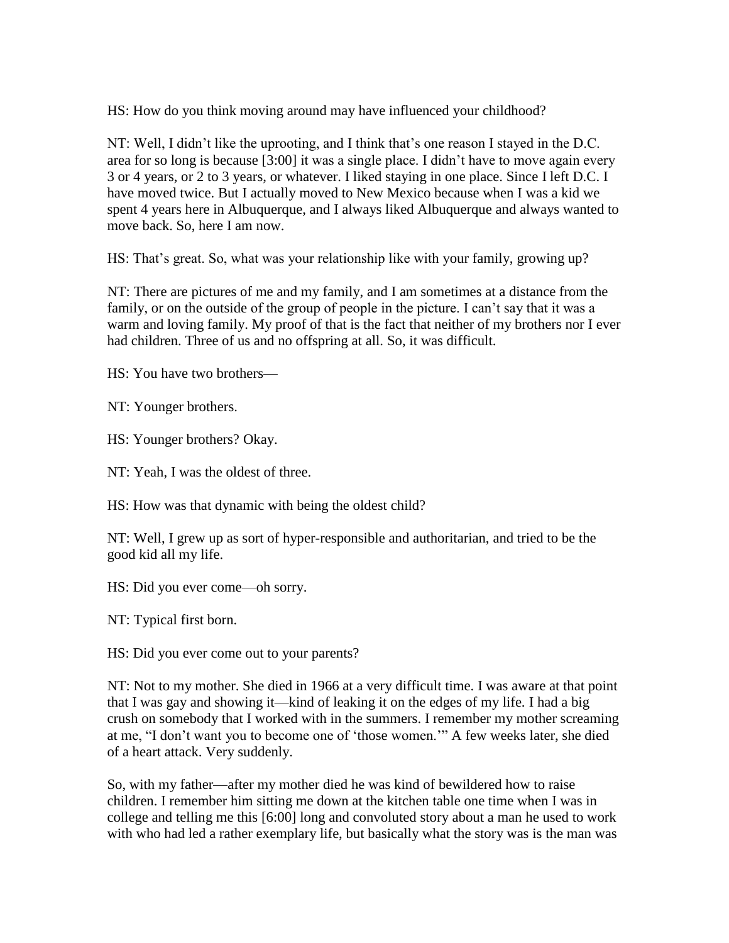HS: How do you think moving around may have influenced your childhood?

NT: Well, I didn't like the uprooting, and I think that's one reason I stayed in the D.C. area for so long is because [3:00] it was a single place. I didn't have to move again every 3 or 4 years, or 2 to 3 years, or whatever. I liked staying in one place. Since I left D.C. I have moved twice. But I actually moved to New Mexico because when I was a kid we spent 4 years here in Albuquerque, and I always liked Albuquerque and always wanted to move back. So, here I am now.

HS: That's great. So, what was your relationship like with your family, growing up?

NT: There are pictures of me and my family, and I am sometimes at a distance from the family, or on the outside of the group of people in the picture. I can't say that it was a warm and loving family. My proof of that is the fact that neither of my brothers nor I ever had children. Three of us and no offspring at all. So, it was difficult.

HS: You have two brothers—

NT: Younger brothers.

HS: Younger brothers? Okay.

NT: Yeah, I was the oldest of three.

HS: How was that dynamic with being the oldest child?

NT: Well, I grew up as sort of hyper-responsible and authoritarian, and tried to be the good kid all my life.

HS: Did you ever come—oh sorry.

NT: Typical first born.

HS: Did you ever come out to your parents?

NT: Not to my mother. She died in 1966 at a very difficult time. I was aware at that point that I was gay and showing it—kind of leaking it on the edges of my life. I had a big crush on somebody that I worked with in the summers. I remember my mother screaming at me, "I don't want you to become one of 'those women.'" A few weeks later, she died of a heart attack. Very suddenly.

So, with my father—after my mother died he was kind of bewildered how to raise children. I remember him sitting me down at the kitchen table one time when I was in college and telling me this [6:00] long and convoluted story about a man he used to work with who had led a rather exemplary life, but basically what the story was is the man was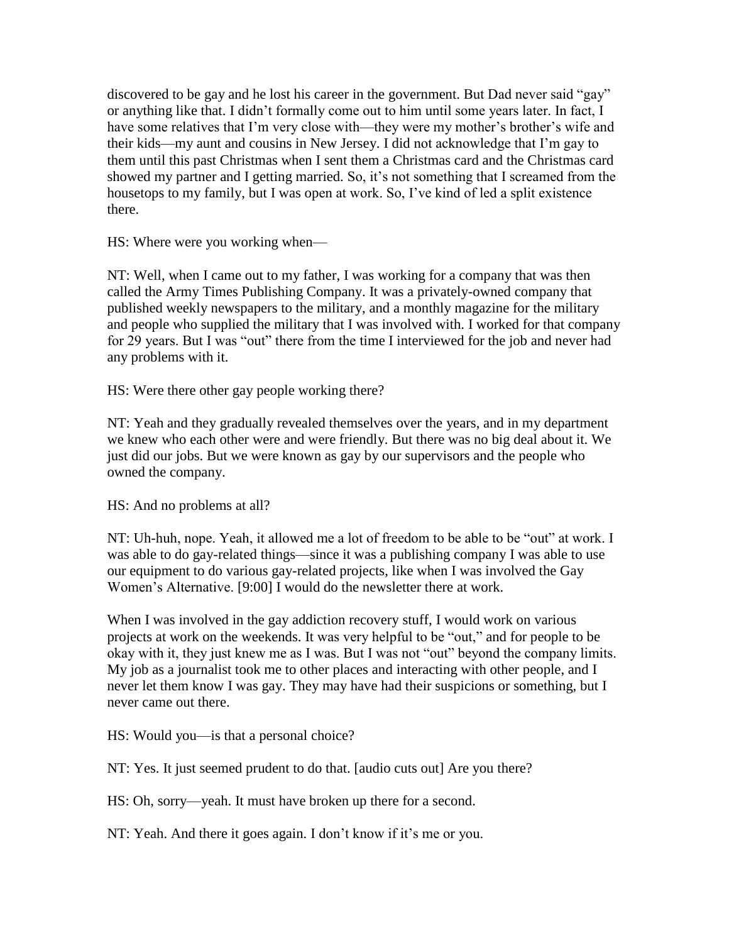discovered to be gay and he lost his career in the government. But Dad never said "gay" or anything like that. I didn't formally come out to him until some years later. In fact, I have some relatives that I'm very close with—they were my mother's brother's wife and their kids—my aunt and cousins in New Jersey. I did not acknowledge that I'm gay to them until this past Christmas when I sent them a Christmas card and the Christmas card showed my partner and I getting married. So, it's not something that I screamed from the housetops to my family, but I was open at work. So, I've kind of led a split existence there.

HS: Where were you working when—

NT: Well, when I came out to my father, I was working for a company that was then called the Army Times Publishing Company. It was a privately-owned company that published weekly newspapers to the military, and a monthly magazine for the military and people who supplied the military that I was involved with. I worked for that company for 29 years. But I was "out" there from the time I interviewed for the job and never had any problems with it.

HS: Were there other gay people working there?

NT: Yeah and they gradually revealed themselves over the years, and in my department we knew who each other were and were friendly. But there was no big deal about it. We just did our jobs. But we were known as gay by our supervisors and the people who owned the company.

HS: And no problems at all?

NT: Uh-huh, nope. Yeah, it allowed me a lot of freedom to be able to be "out" at work. I was able to do gay-related things—since it was a publishing company I was able to use our equipment to do various gay-related projects, like when I was involved the Gay Women's Alternative. [9:00] I would do the newsletter there at work.

When I was involved in the gay addiction recovery stuff, I would work on various projects at work on the weekends. It was very helpful to be "out," and for people to be okay with it, they just knew me as I was. But I was not "out" beyond the company limits. My job as a journalist took me to other places and interacting with other people, and I never let them know I was gay. They may have had their suspicions or something, but I never came out there.

HS: Would you—is that a personal choice?

NT: Yes. It just seemed prudent to do that. [audio cuts out] Are you there?

HS: Oh, sorry—yeah. It must have broken up there for a second.

NT: Yeah. And there it goes again. I don't know if it's me or you.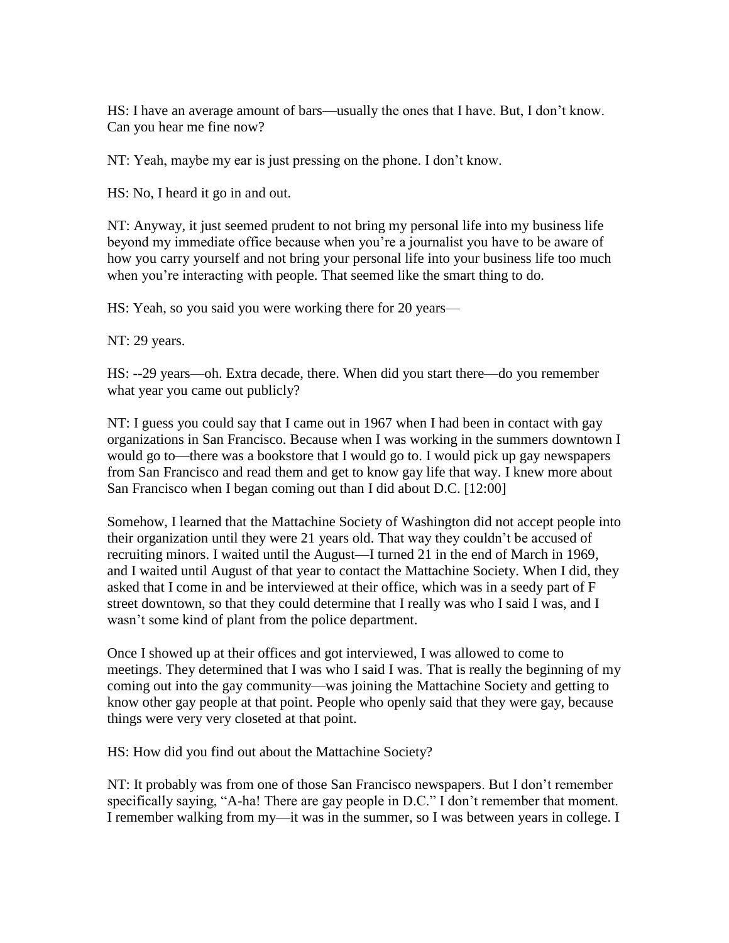HS: I have an average amount of bars—usually the ones that I have. But, I don't know. Can you hear me fine now?

NT: Yeah, maybe my ear is just pressing on the phone. I don't know.

HS: No, I heard it go in and out.

NT: Anyway, it just seemed prudent to not bring my personal life into my business life beyond my immediate office because when you're a journalist you have to be aware of how you carry yourself and not bring your personal life into your business life too much when you're interacting with people. That seemed like the smart thing to do.

HS: Yeah, so you said you were working there for 20 years—

NT: 29 years.

HS: --29 years—oh. Extra decade, there. When did you start there—do you remember what year you came out publicly?

NT: I guess you could say that I came out in 1967 when I had been in contact with gay organizations in San Francisco. Because when I was working in the summers downtown I would go to—there was a bookstore that I would go to. I would pick up gay newspapers from San Francisco and read them and get to know gay life that way. I knew more about San Francisco when I began coming out than I did about D.C. [12:00]

Somehow, I learned that the Mattachine Society of Washington did not accept people into their organization until they were 21 years old. That way they couldn't be accused of recruiting minors. I waited until the August—I turned 21 in the end of March in 1969, and I waited until August of that year to contact the Mattachine Society. When I did, they asked that I come in and be interviewed at their office, which was in a seedy part of F street downtown, so that they could determine that I really was who I said I was, and I wasn't some kind of plant from the police department.

Once I showed up at their offices and got interviewed, I was allowed to come to meetings. They determined that I was who I said I was. That is really the beginning of my coming out into the gay community—was joining the Mattachine Society and getting to know other gay people at that point. People who openly said that they were gay, because things were very very closeted at that point.

HS: How did you find out about the Mattachine Society?

NT: It probably was from one of those San Francisco newspapers. But I don't remember specifically saying, "A-ha! There are gay people in D.C." I don't remember that moment. I remember walking from my—it was in the summer, so I was between years in college. I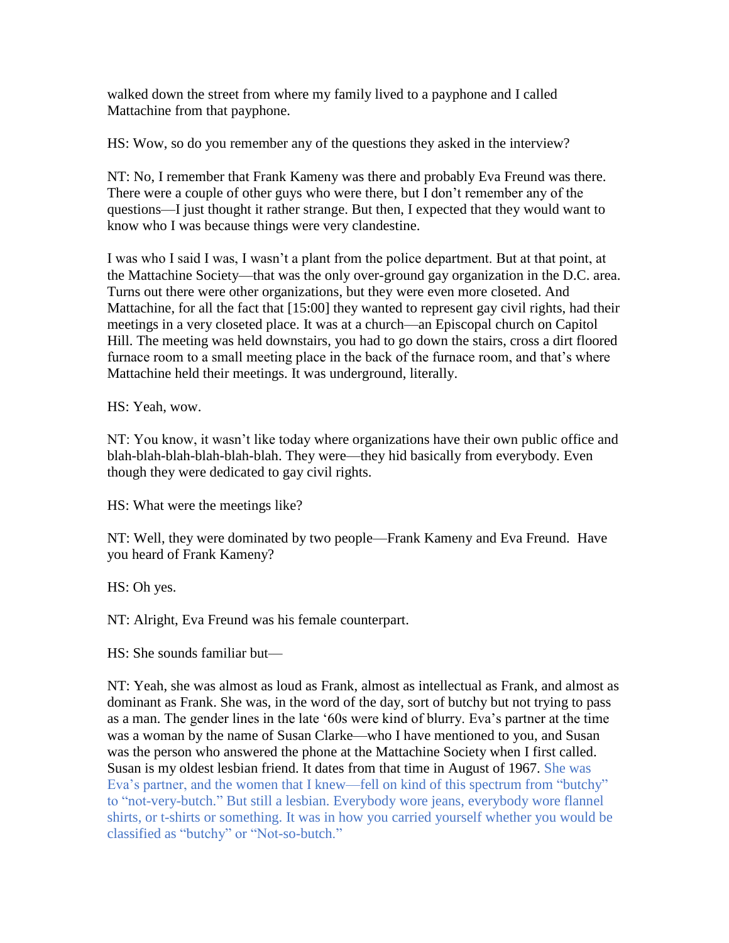walked down the street from where my family lived to a payphone and I called Mattachine from that payphone.

HS: Wow, so do you remember any of the questions they asked in the interview?

NT: No, I remember that Frank Kameny was there and probably Eva Freund was there. There were a couple of other guys who were there, but I don't remember any of the questions—I just thought it rather strange. But then, I expected that they would want to know who I was because things were very clandestine.

I was who I said I was, I wasn't a plant from the police department. But at that point, at the Mattachine Society—that was the only over-ground gay organization in the D.C. area. Turns out there were other organizations, but they were even more closeted. And Mattachine, for all the fact that [15:00] they wanted to represent gay civil rights, had their meetings in a very closeted place. It was at a church—an Episcopal church on Capitol Hill. The meeting was held downstairs, you had to go down the stairs, cross a dirt floored furnace room to a small meeting place in the back of the furnace room, and that's where Mattachine held their meetings. It was underground, literally.

HS: Yeah, wow.

NT: You know, it wasn't like today where organizations have their own public office and blah-blah-blah-blah-blah-blah. They were—they hid basically from everybody. Even though they were dedicated to gay civil rights.

HS: What were the meetings like?

NT: Well, they were dominated by two people—Frank Kameny and Eva Freund. Have you heard of Frank Kameny?

HS: Oh yes.

NT: Alright, Eva Freund was his female counterpart.

HS: She sounds familiar but—

NT: Yeah, she was almost as loud as Frank, almost as intellectual as Frank, and almost as dominant as Frank. She was, in the word of the day, sort of butchy but not trying to pass as a man. The gender lines in the late '60s were kind of blurry. Eva's partner at the time was a woman by the name of Susan Clarke—who I have mentioned to you, and Susan was the person who answered the phone at the Mattachine Society when I first called. Susan is my oldest lesbian friend. It dates from that time in August of 1967. She was Eva's partner, and the women that I knew—fell on kind of this spectrum from "butchy" to "not-very-butch." But still a lesbian. Everybody wore jeans, everybody wore flannel shirts, or t-shirts or something. It was in how you carried yourself whether you would be classified as "butchy" or "Not-so-butch."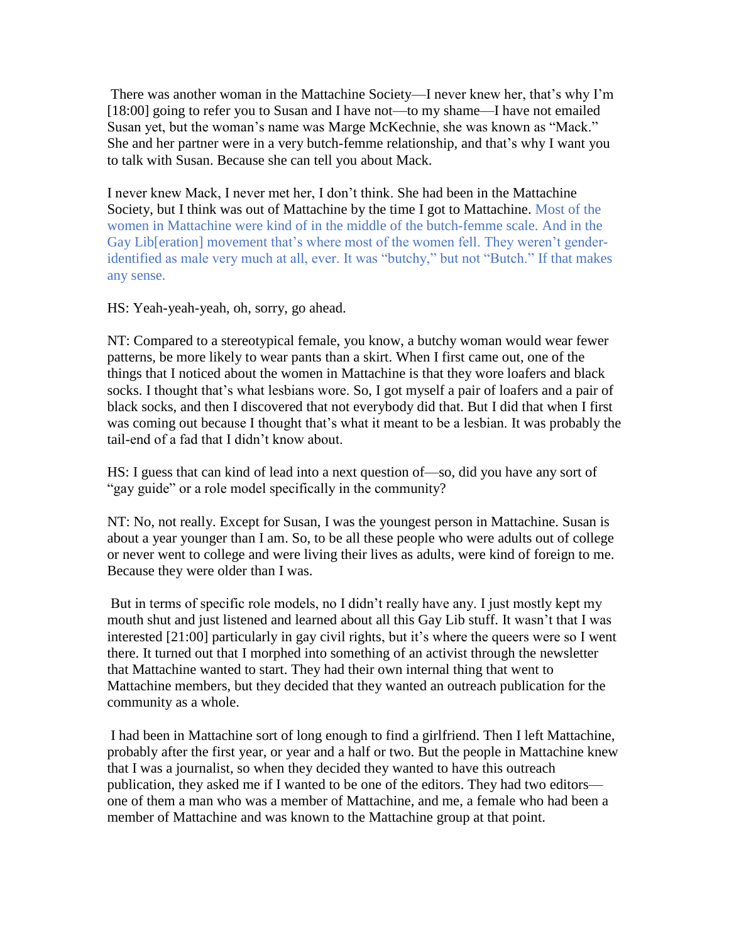There was another woman in the Mattachine Society—I never knew her, that's why I'm [18:00] going to refer you to Susan and I have not—to my shame—I have not emailed Susan yet, but the woman's name was Marge McKechnie, she was known as "Mack." She and her partner were in a very butch-femme relationship, and that's why I want you to talk with Susan. Because she can tell you about Mack.

I never knew Mack, I never met her, I don't think. She had been in the Mattachine Society, but I think was out of Mattachine by the time I got to Mattachine. Most of the women in Mattachine were kind of in the middle of the butch-femme scale. And in the Gay Lib[eration] movement that's where most of the women fell. They weren't genderidentified as male very much at all, ever. It was "butchy," but not "Butch." If that makes any sense.

HS: Yeah-yeah-yeah, oh, sorry, go ahead.

NT: Compared to a stereotypical female, you know, a butchy woman would wear fewer patterns, be more likely to wear pants than a skirt. When I first came out, one of the things that I noticed about the women in Mattachine is that they wore loafers and black socks. I thought that's what lesbians wore. So, I got myself a pair of loafers and a pair of black socks, and then I discovered that not everybody did that. But I did that when I first was coming out because I thought that's what it meant to be a lesbian. It was probably the tail-end of a fad that I didn't know about.

HS: I guess that can kind of lead into a next question of—so, did you have any sort of "gay guide" or a role model specifically in the community?

NT: No, not really. Except for Susan, I was the youngest person in Mattachine. Susan is about a year younger than I am. So, to be all these people who were adults out of college or never went to college and were living their lives as adults, were kind of foreign to me. Because they were older than I was.

But in terms of specific role models, no I didn't really have any. I just mostly kept my mouth shut and just listened and learned about all this Gay Lib stuff. It wasn't that I was interested [21:00] particularly in gay civil rights, but it's where the queers were so I went there. It turned out that I morphed into something of an activist through the newsletter that Mattachine wanted to start. They had their own internal thing that went to Mattachine members, but they decided that they wanted an outreach publication for the community as a whole.

I had been in Mattachine sort of long enough to find a girlfriend. Then I left Mattachine, probably after the first year, or year and a half or two. But the people in Mattachine knew that I was a journalist, so when they decided they wanted to have this outreach publication, they asked me if I wanted to be one of the editors. They had two editors one of them a man who was a member of Mattachine, and me, a female who had been a member of Mattachine and was known to the Mattachine group at that point.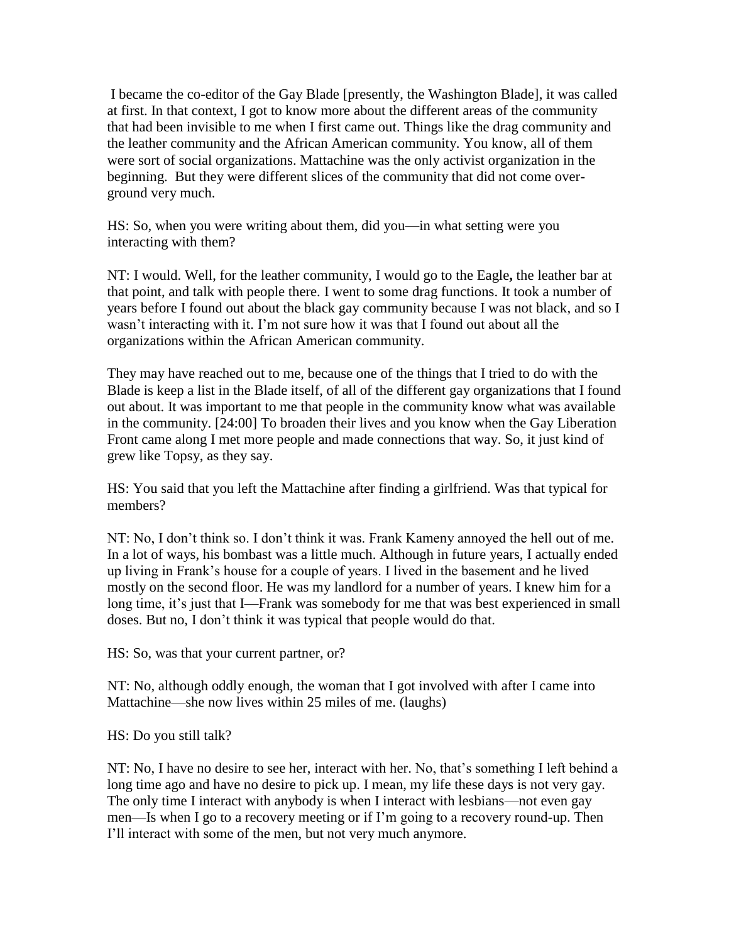I became the co-editor of the Gay Blade [presently, the Washington Blade], it was called at first. In that context, I got to know more about the different areas of the community that had been invisible to me when I first came out. Things like the drag community and the leather community and the African American community. You know, all of them were sort of social organizations. Mattachine was the only activist organization in the beginning. But they were different slices of the community that did not come overground very much.

HS: So, when you were writing about them, did you—in what setting were you interacting with them?

NT: I would. Well, for the leather community, I would go to the Eagle**,** the leather bar at that point, and talk with people there. I went to some drag functions. It took a number of years before I found out about the black gay community because I was not black, and so I wasn't interacting with it. I'm not sure how it was that I found out about all the organizations within the African American community.

They may have reached out to me, because one of the things that I tried to do with the Blade is keep a list in the Blade itself, of all of the different gay organizations that I found out about. It was important to me that people in the community know what was available in the community. [24:00] To broaden their lives and you know when the Gay Liberation Front came along I met more people and made connections that way. So, it just kind of grew like Topsy, as they say.

HS: You said that you left the Mattachine after finding a girlfriend. Was that typical for members?

NT: No, I don't think so. I don't think it was. Frank Kameny annoyed the hell out of me. In a lot of ways, his bombast was a little much. Although in future years, I actually ended up living in Frank's house for a couple of years. I lived in the basement and he lived mostly on the second floor. He was my landlord for a number of years. I knew him for a long time, it's just that I—Frank was somebody for me that was best experienced in small doses. But no, I don't think it was typical that people would do that.

HS: So, was that your current partner, or?

NT: No, although oddly enough, the woman that I got involved with after I came into Mattachine—she now lives within 25 miles of me. (laughs)

HS: Do you still talk?

NT: No, I have no desire to see her, interact with her. No, that's something I left behind a long time ago and have no desire to pick up. I mean, my life these days is not very gay. The only time I interact with anybody is when I interact with lesbians—not even gay men—Is when I go to a recovery meeting or if I'm going to a recovery round-up. Then I'll interact with some of the men, but not very much anymore.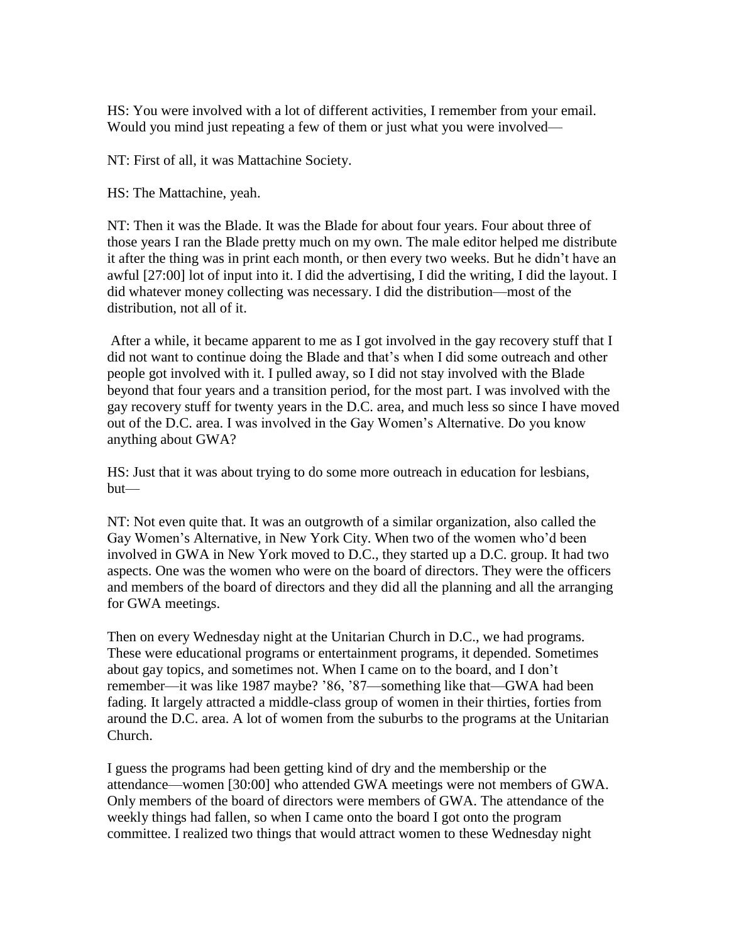HS: You were involved with a lot of different activities, I remember from your email. Would you mind just repeating a few of them or just what you were involved—

NT: First of all, it was Mattachine Society.

HS: The Mattachine, yeah.

NT: Then it was the Blade. It was the Blade for about four years. Four about three of those years I ran the Blade pretty much on my own. The male editor helped me distribute it after the thing was in print each month, or then every two weeks. But he didn't have an awful [27:00] lot of input into it. I did the advertising, I did the writing, I did the layout. I did whatever money collecting was necessary. I did the distribution—most of the distribution, not all of it.

After a while, it became apparent to me as I got involved in the gay recovery stuff that I did not want to continue doing the Blade and that's when I did some outreach and other people got involved with it. I pulled away, so I did not stay involved with the Blade beyond that four years and a transition period, for the most part. I was involved with the gay recovery stuff for twenty years in the D.C. area, and much less so since I have moved out of the D.C. area. I was involved in the Gay Women's Alternative. Do you know anything about GWA?

HS: Just that it was about trying to do some more outreach in education for lesbians, but—

NT: Not even quite that. It was an outgrowth of a similar organization, also called the Gay Women's Alternative, in New York City. When two of the women who'd been involved in GWA in New York moved to D.C., they started up a D.C. group. It had two aspects. One was the women who were on the board of directors. They were the officers and members of the board of directors and they did all the planning and all the arranging for GWA meetings.

Then on every Wednesday night at the Unitarian Church in D.C., we had programs. These were educational programs or entertainment programs, it depended. Sometimes about gay topics, and sometimes not. When I came on to the board, and I don't remember—it was like 1987 maybe? '86, '87—something like that—GWA had been fading. It largely attracted a middle-class group of women in their thirties, forties from around the D.C. area. A lot of women from the suburbs to the programs at the Unitarian Church.

I guess the programs had been getting kind of dry and the membership or the attendance—women [30:00] who attended GWA meetings were not members of GWA. Only members of the board of directors were members of GWA. The attendance of the weekly things had fallen, so when I came onto the board I got onto the program committee. I realized two things that would attract women to these Wednesday night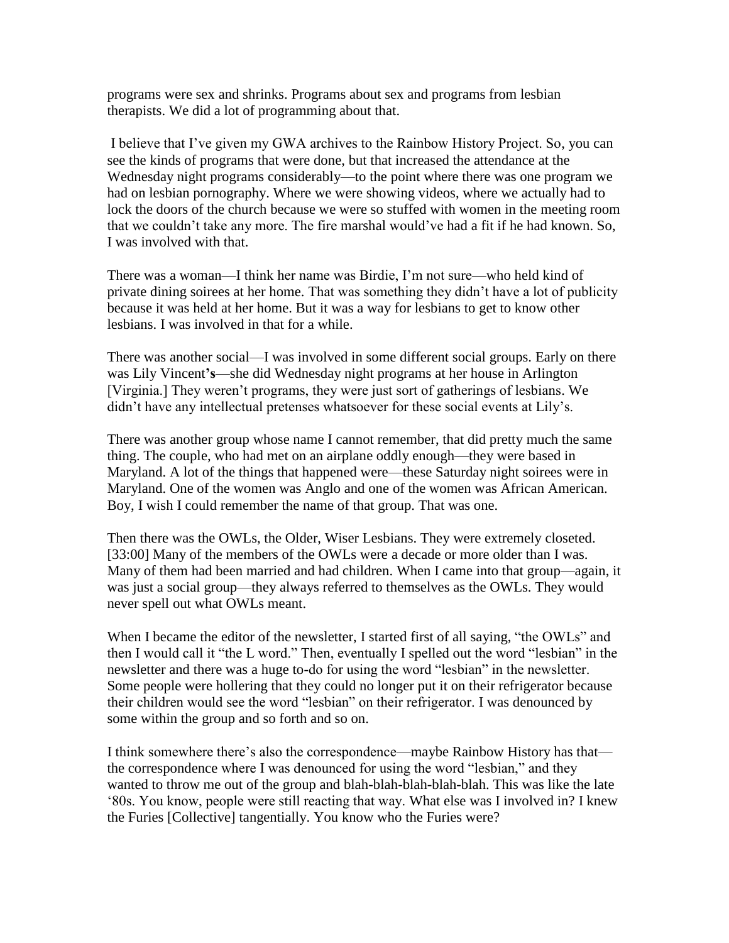programs were sex and shrinks. Programs about sex and programs from lesbian therapists. We did a lot of programming about that.

I believe that I've given my GWA archives to the Rainbow History Project. So, you can see the kinds of programs that were done, but that increased the attendance at the Wednesday night programs considerably—to the point where there was one program we had on lesbian pornography. Where we were showing videos, where we actually had to lock the doors of the church because we were so stuffed with women in the meeting room that we couldn't take any more. The fire marshal would've had a fit if he had known. So, I was involved with that.

There was a woman—I think her name was Birdie, I'm not sure—who held kind of private dining soirees at her home. That was something they didn't have a lot of publicity because it was held at her home. But it was a way for lesbians to get to know other lesbians. I was involved in that for a while.

There was another social—I was involved in some different social groups. Early on there was Lily Vincent**'s**—she did Wednesday night programs at her house in Arlington [Virginia.] They weren't programs, they were just sort of gatherings of lesbians. We didn't have any intellectual pretenses whatsoever for these social events at Lily's.

There was another group whose name I cannot remember, that did pretty much the same thing. The couple, who had met on an airplane oddly enough—they were based in Maryland. A lot of the things that happened were—these Saturday night soirees were in Maryland. One of the women was Anglo and one of the women was African American. Boy, I wish I could remember the name of that group. That was one.

Then there was the OWLs, the Older, Wiser Lesbians. They were extremely closeted. [33:00] Many of the members of the OWLs were a decade or more older than I was. Many of them had been married and had children. When I came into that group—again, it was just a social group—they always referred to themselves as the OWLs. They would never spell out what OWLs meant.

When I became the editor of the newsletter, I started first of all saying, "the OWLs" and then I would call it "the L word." Then, eventually I spelled out the word "lesbian" in the newsletter and there was a huge to-do for using the word "lesbian" in the newsletter. Some people were hollering that they could no longer put it on their refrigerator because their children would see the word "lesbian" on their refrigerator. I was denounced by some within the group and so forth and so on.

I think somewhere there's also the correspondence—maybe Rainbow History has that the correspondence where I was denounced for using the word "lesbian," and they wanted to throw me out of the group and blah-blah-blah-blah-blah. This was like the late '80s. You know, people were still reacting that way. What else was I involved in? I knew the Furies [Collective] tangentially. You know who the Furies were?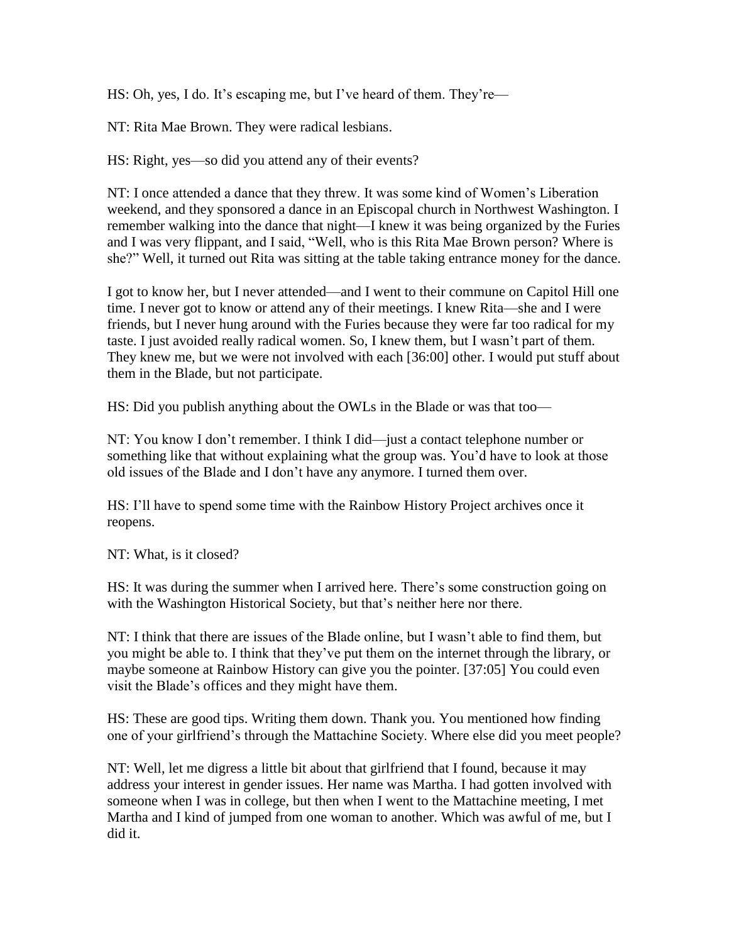HS: Oh, yes, I do. It's escaping me, but I've heard of them. They're—

NT: Rita Mae Brown. They were radical lesbians.

HS: Right, yes—so did you attend any of their events?

NT: I once attended a dance that they threw. It was some kind of Women's Liberation weekend, and they sponsored a dance in an Episcopal church in Northwest Washington. I remember walking into the dance that night—I knew it was being organized by the Furies and I was very flippant, and I said, "Well, who is this Rita Mae Brown person? Where is she?" Well, it turned out Rita was sitting at the table taking entrance money for the dance.

I got to know her, but I never attended—and I went to their commune on Capitol Hill one time. I never got to know or attend any of their meetings. I knew Rita—she and I were friends, but I never hung around with the Furies because they were far too radical for my taste. I just avoided really radical women. So, I knew them, but I wasn't part of them. They knew me, but we were not involved with each [36:00] other. I would put stuff about them in the Blade, but not participate.

HS: Did you publish anything about the OWLs in the Blade or was that too—

NT: You know I don't remember. I think I did—just a contact telephone number or something like that without explaining what the group was. You'd have to look at those old issues of the Blade and I don't have any anymore. I turned them over.

HS: I'll have to spend some time with the Rainbow History Project archives once it reopens.

NT: What, is it closed?

HS: It was during the summer when I arrived here. There's some construction going on with the Washington Historical Society, but that's neither here nor there.

NT: I think that there are issues of the Blade online, but I wasn't able to find them, but you might be able to. I think that they've put them on the internet through the library, or maybe someone at Rainbow History can give you the pointer. [37:05] You could even visit the Blade's offices and they might have them.

HS: These are good tips. Writing them down. Thank you. You mentioned how finding one of your girlfriend's through the Mattachine Society. Where else did you meet people?

NT: Well, let me digress a little bit about that girlfriend that I found, because it may address your interest in gender issues. Her name was Martha. I had gotten involved with someone when I was in college, but then when I went to the Mattachine meeting, I met Martha and I kind of jumped from one woman to another. Which was awful of me, but I did it.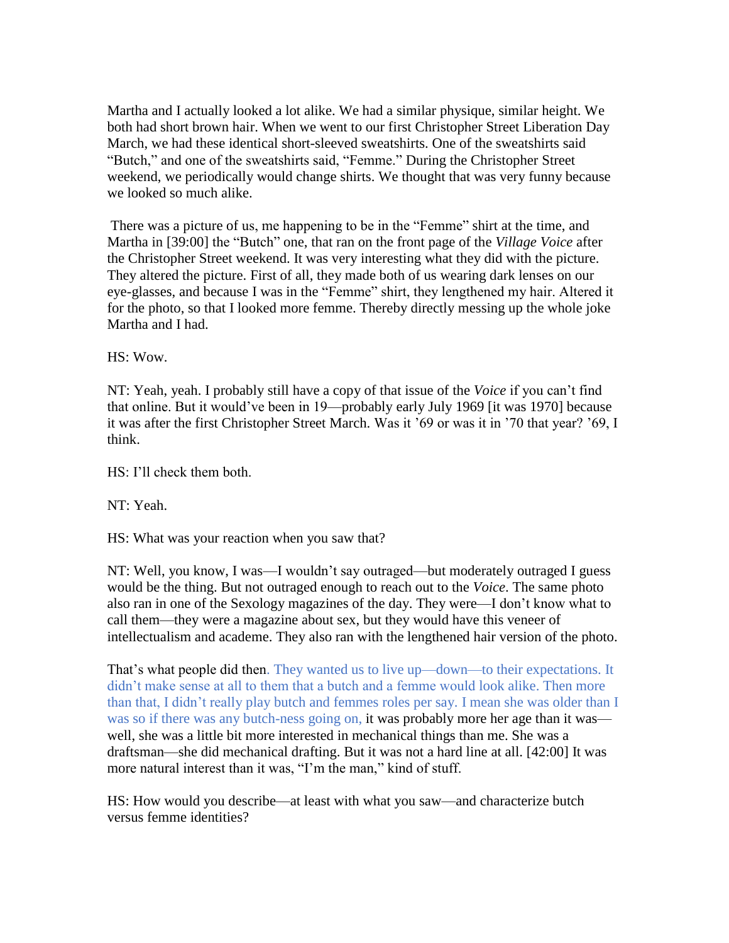Martha and I actually looked a lot alike. We had a similar physique, similar height. We both had short brown hair. When we went to our first Christopher Street Liberation Day March, we had these identical short-sleeved sweatshirts. One of the sweatshirts said "Butch," and one of the sweatshirts said, "Femme." During the Christopher Street weekend, we periodically would change shirts. We thought that was very funny because we looked so much alike.

There was a picture of us, me happening to be in the "Femme" shirt at the time, and Martha in [39:00] the "Butch" one, that ran on the front page of the *Village Voice* after the Christopher Street weekend. It was very interesting what they did with the picture. They altered the picture. First of all, they made both of us wearing dark lenses on our eye-glasses, and because I was in the "Femme" shirt, they lengthened my hair. Altered it for the photo, so that I looked more femme. Thereby directly messing up the whole joke Martha and I had.

 $HS: Wow$ .

NT: Yeah, yeah. I probably still have a copy of that issue of the *Voice* if you can't find that online. But it would've been in 19—probably early July 1969 [it was 1970] because it was after the first Christopher Street March. Was it '69 or was it in '70 that year? '69, I think.

HS: I'll check them both.

NT: Yeah.

HS: What was your reaction when you saw that?

NT: Well, you know, I was—I wouldn't say outraged—but moderately outraged I guess would be the thing. But not outraged enough to reach out to the *Voice*. The same photo also ran in one of the Sexology magazines of the day. They were—I don't know what to call them—they were a magazine about sex, but they would have this veneer of intellectualism and academe. They also ran with the lengthened hair version of the photo.

That's what people did then. They wanted us to live up—down—to their expectations. It didn't make sense at all to them that a butch and a femme would look alike. Then more than that, I didn't really play butch and femmes roles per say. I mean she was older than I was so if there was any butch-ness going on, it was probably more her age than it was well, she was a little bit more interested in mechanical things than me. She was a draftsman—she did mechanical drafting. But it was not a hard line at all. [42:00] It was more natural interest than it was, "I'm the man," kind of stuff.

HS: How would you describe—at least with what you saw—and characterize butch versus femme identities?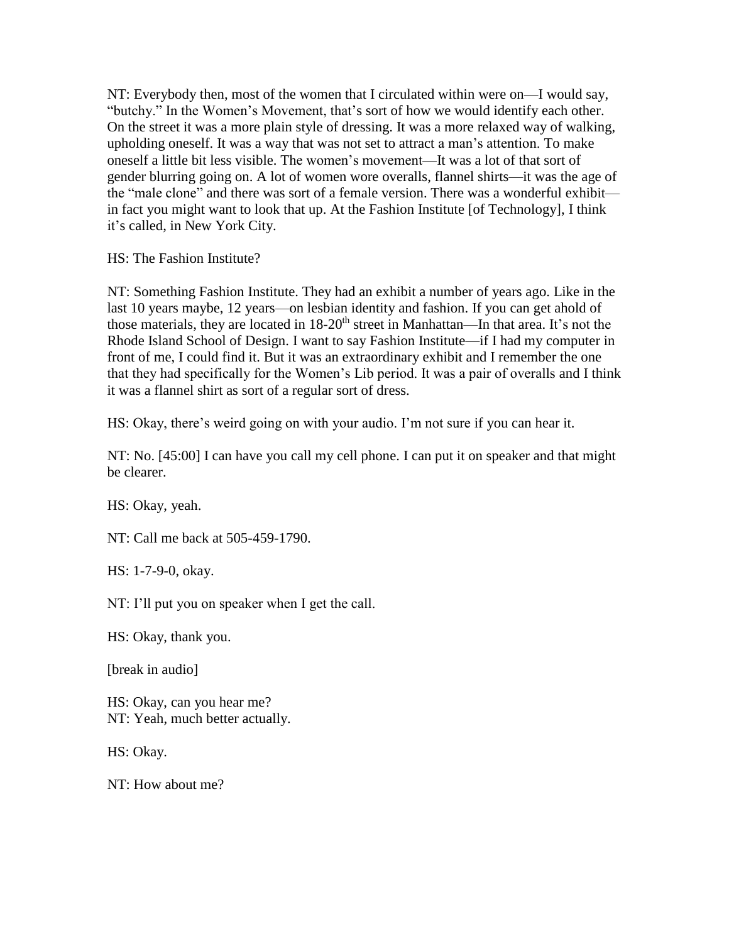NT: Everybody then, most of the women that I circulated within were on—I would say, "butchy." In the Women's Movement, that's sort of how we would identify each other. On the street it was a more plain style of dressing. It was a more relaxed way of walking, upholding oneself. It was a way that was not set to attract a man's attention. To make oneself a little bit less visible. The women's movement—It was a lot of that sort of gender blurring going on. A lot of women wore overalls, flannel shirts—it was the age of the "male clone" and there was sort of a female version. There was a wonderful exhibit in fact you might want to look that up. At the Fashion Institute [of Technology], I think it's called, in New York City.

HS: The Fashion Institute?

NT: Something Fashion Institute. They had an exhibit a number of years ago. Like in the last 10 years maybe, 12 years—on lesbian identity and fashion. If you can get ahold of those materials, they are located in 18-20<sup>th</sup> street in Manhattan—In that area. It's not the Rhode Island School of Design. I want to say Fashion Institute—if I had my computer in front of me, I could find it. But it was an extraordinary exhibit and I remember the one that they had specifically for the Women's Lib period. It was a pair of overalls and I think it was a flannel shirt as sort of a regular sort of dress.

HS: Okay, there's weird going on with your audio. I'm not sure if you can hear it.

NT: No. [45:00] I can have you call my cell phone. I can put it on speaker and that might be clearer.

HS: Okay, yeah.

NT: Call me back at 505-459-1790.

HS: 1-7-9-0, okay.

NT: I'll put you on speaker when I get the call.

HS: Okay, thank you.

[break in audio]

HS: Okay, can you hear me? NT: Yeah, much better actually.

HS: Okay.

NT: How about me?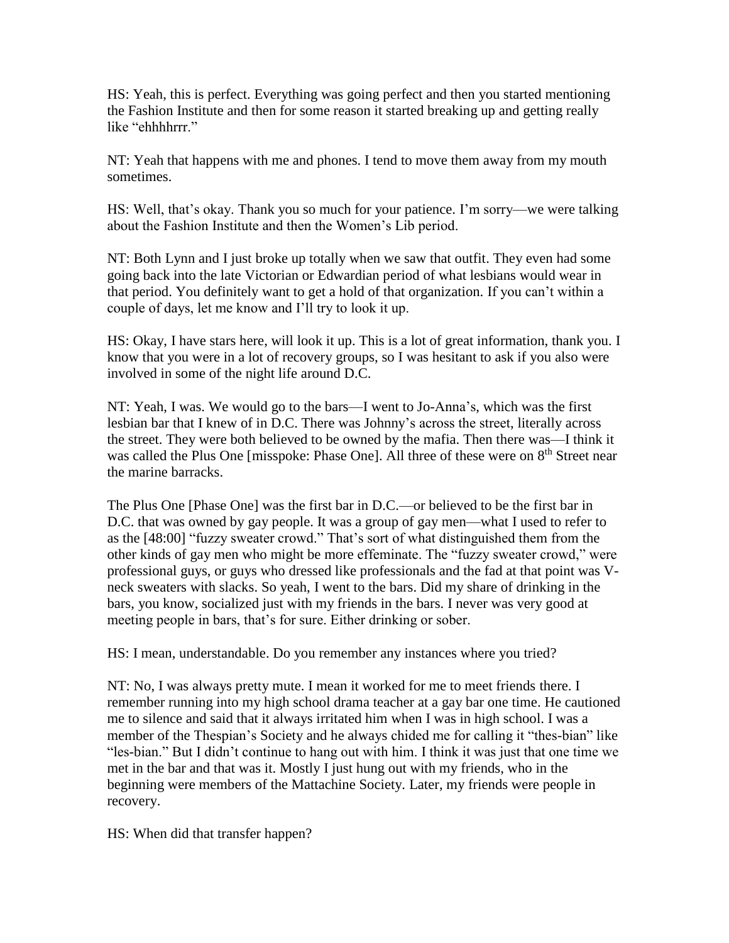HS: Yeah, this is perfect. Everything was going perfect and then you started mentioning the Fashion Institute and then for some reason it started breaking up and getting really like "ehhhhrrr."

NT: Yeah that happens with me and phones. I tend to move them away from my mouth sometimes.

HS: Well, that's okay. Thank you so much for your patience. I'm sorry—we were talking about the Fashion Institute and then the Women's Lib period.

NT: Both Lynn and I just broke up totally when we saw that outfit. They even had some going back into the late Victorian or Edwardian period of what lesbians would wear in that period. You definitely want to get a hold of that organization. If you can't within a couple of days, let me know and I'll try to look it up.

HS: Okay, I have stars here, will look it up. This is a lot of great information, thank you. I know that you were in a lot of recovery groups, so I was hesitant to ask if you also were involved in some of the night life around D.C.

NT: Yeah, I was. We would go to the bars—I went to Jo-Anna's, which was the first lesbian bar that I knew of in D.C. There was Johnny's across the street, literally across the street. They were both believed to be owned by the mafia. Then there was—I think it was called the Plus One [misspoke: Phase One]. All three of these were on 8<sup>th</sup> Street near the marine barracks.

The Plus One [Phase One] was the first bar in D.C.—or believed to be the first bar in D.C. that was owned by gay people. It was a group of gay men—what I used to refer to as the [48:00] "fuzzy sweater crowd." That's sort of what distinguished them from the other kinds of gay men who might be more effeminate. The "fuzzy sweater crowd," were professional guys, or guys who dressed like professionals and the fad at that point was Vneck sweaters with slacks. So yeah, I went to the bars. Did my share of drinking in the bars, you know, socialized just with my friends in the bars. I never was very good at meeting people in bars, that's for sure. Either drinking or sober.

HS: I mean, understandable. Do you remember any instances where you tried?

NT: No, I was always pretty mute. I mean it worked for me to meet friends there. I remember running into my high school drama teacher at a gay bar one time. He cautioned me to silence and said that it always irritated him when I was in high school. I was a member of the Thespian's Society and he always chided me for calling it "thes-bian" like "les-bian." But I didn't continue to hang out with him. I think it was just that one time we met in the bar and that was it. Mostly I just hung out with my friends, who in the beginning were members of the Mattachine Society. Later, my friends were people in recovery.

HS: When did that transfer happen?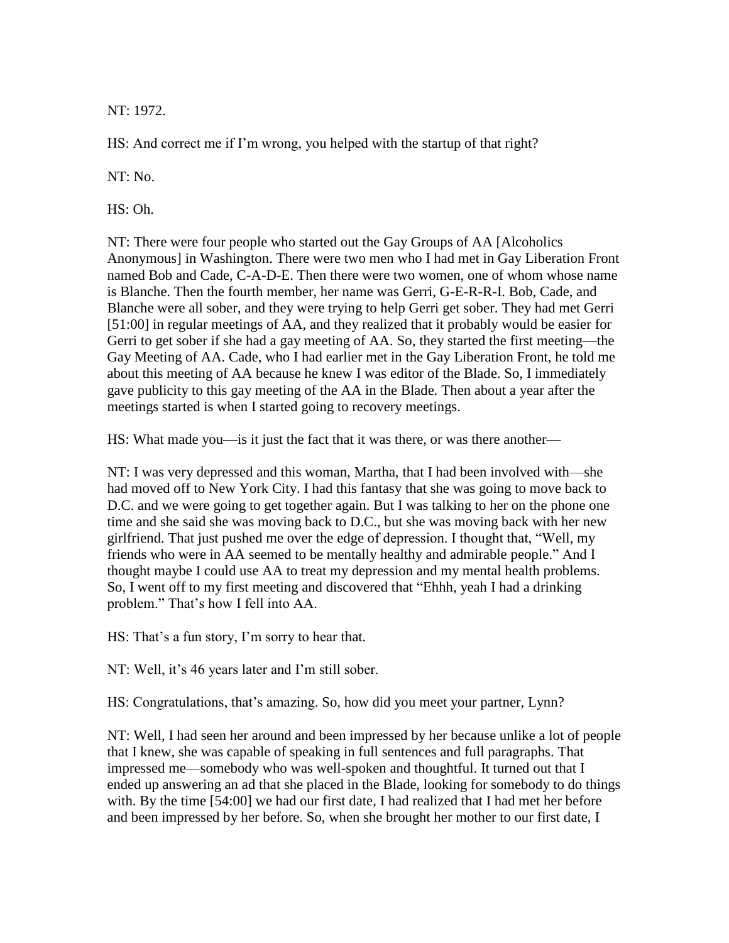NT: 1972.

HS: And correct me if I'm wrong, you helped with the startup of that right?

NT: No.

HS: Oh.

NT: There were four people who started out the Gay Groups of AA [Alcoholics Anonymous] in Washington. There were two men who I had met in Gay Liberation Front named Bob and Cade, C-A-D-E. Then there were two women, one of whom whose name is Blanche. Then the fourth member, her name was Gerri, G-E-R-R-I. Bob, Cade, and Blanche were all sober, and they were trying to help Gerri get sober. They had met Gerri [51:00] in regular meetings of AA, and they realized that it probably would be easier for Gerri to get sober if she had a gay meeting of AA. So, they started the first meeting—the Gay Meeting of AA. Cade, who I had earlier met in the Gay Liberation Front, he told me about this meeting of AA because he knew I was editor of the Blade. So, I immediately gave publicity to this gay meeting of the AA in the Blade. Then about a year after the meetings started is when I started going to recovery meetings.

HS: What made you—is it just the fact that it was there, or was there another—

NT: I was very depressed and this woman, Martha, that I had been involved with—she had moved off to New York City. I had this fantasy that she was going to move back to D.C. and we were going to get together again. But I was talking to her on the phone one time and she said she was moving back to D.C., but she was moving back with her new girlfriend. That just pushed me over the edge of depression. I thought that, "Well, my friends who were in AA seemed to be mentally healthy and admirable people." And I thought maybe I could use AA to treat my depression and my mental health problems. So, I went off to my first meeting and discovered that "Ehhh, yeah I had a drinking problem." That's how I fell into AA.

HS: That's a fun story, I'm sorry to hear that.

NT: Well, it's 46 years later and I'm still sober.

HS: Congratulations, that's amazing. So, how did you meet your partner, Lynn?

NT: Well, I had seen her around and been impressed by her because unlike a lot of people that I knew, she was capable of speaking in full sentences and full paragraphs. That impressed me—somebody who was well-spoken and thoughtful. It turned out that I ended up answering an ad that she placed in the Blade, looking for somebody to do things with. By the time [54:00] we had our first date, I had realized that I had met her before and been impressed by her before. So, when she brought her mother to our first date, I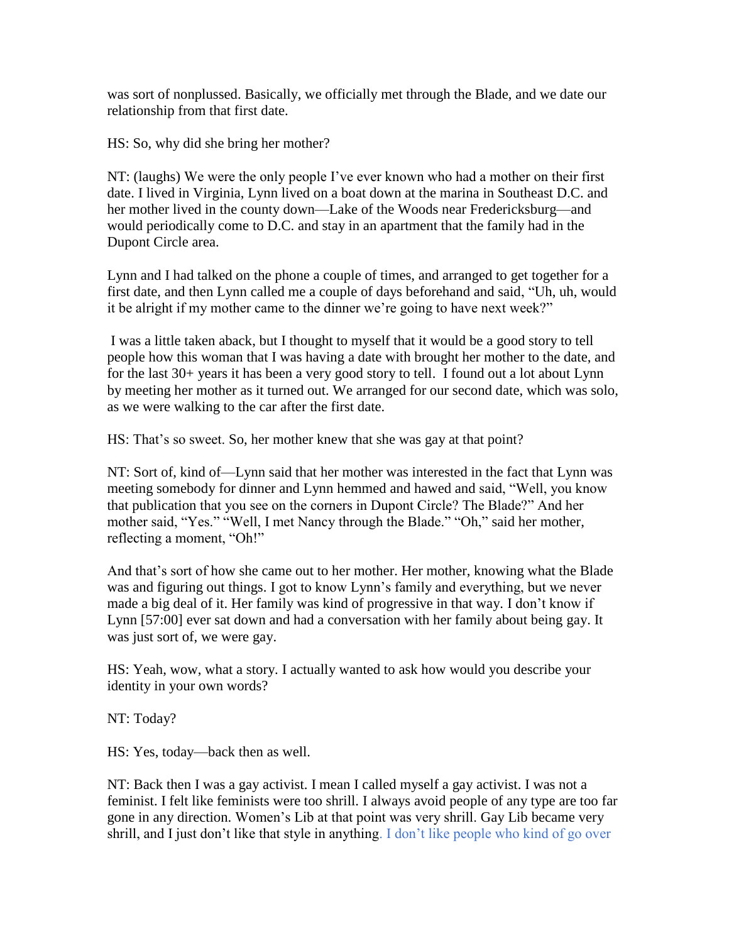was sort of nonplussed. Basically, we officially met through the Blade, and we date our relationship from that first date.

HS: So, why did she bring her mother?

NT: (laughs) We were the only people I've ever known who had a mother on their first date. I lived in Virginia, Lynn lived on a boat down at the marina in Southeast D.C. and her mother lived in the county down—Lake of the Woods near Fredericksburg—and would periodically come to D.C. and stay in an apartment that the family had in the Dupont Circle area.

Lynn and I had talked on the phone a couple of times, and arranged to get together for a first date, and then Lynn called me a couple of days beforehand and said, "Uh, uh, would it be alright if my mother came to the dinner we're going to have next week?"

I was a little taken aback, but I thought to myself that it would be a good story to tell people how this woman that I was having a date with brought her mother to the date, and for the last 30+ years it has been a very good story to tell. I found out a lot about Lynn by meeting her mother as it turned out. We arranged for our second date, which was solo, as we were walking to the car after the first date.

HS: That's so sweet. So, her mother knew that she was gay at that point?

NT: Sort of, kind of—Lynn said that her mother was interested in the fact that Lynn was meeting somebody for dinner and Lynn hemmed and hawed and said, "Well, you know that publication that you see on the corners in Dupont Circle? The Blade?" And her mother said, "Yes." "Well, I met Nancy through the Blade." "Oh," said her mother, reflecting a moment, "Oh!"

And that's sort of how she came out to her mother. Her mother, knowing what the Blade was and figuring out things. I got to know Lynn's family and everything, but we never made a big deal of it. Her family was kind of progressive in that way. I don't know if Lynn [57:00] ever sat down and had a conversation with her family about being gay. It was just sort of, we were gay.

HS: Yeah, wow, what a story. I actually wanted to ask how would you describe your identity in your own words?

NT: Today?

HS: Yes, today—back then as well.

NT: Back then I was a gay activist. I mean I called myself a gay activist. I was not a feminist. I felt like feminists were too shrill. I always avoid people of any type are too far gone in any direction. Women's Lib at that point was very shrill. Gay Lib became very shrill, and I just don't like that style in anything. I don't like people who kind of go over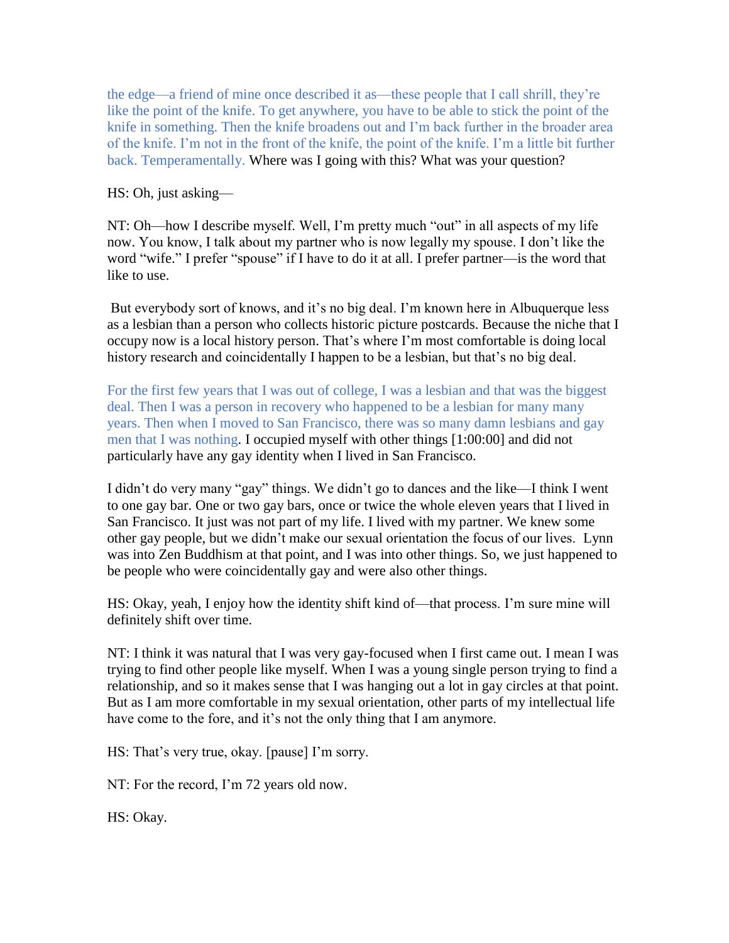the edge—a friend of mine once described it as—these people that I call shrill, they're like the point of the knife. To get anywhere, you have to be able to stick the point of the knife in something. Then the knife broadens out and I'm back further in the broader area of the knife. I'm not in the front of the knife, the point of the knife. I'm a little bit further back. Temperamentally. Where was I going with this? What was your question?

### HS: Oh, just asking—

NT: Oh—how I describe myself. Well, I'm pretty much "out" in all aspects of my life now. You know, I talk about my partner who is now legally my spouse. I don't like the word "wife." I prefer "spouse" if I have to do it at all. I prefer partner—is the word that like to use.

But everybody sort of knows, and it's no big deal. I'm known here in Albuquerque less as a lesbian than a person who collects historic picture postcards. Because the niche that I occupy now is a local history person. That's where I'm most comfortable is doing local history research and coincidentally I happen to be a lesbian, but that's no big deal.

For the first few years that I was out of college, I was a lesbian and that was the biggest deal. Then I was a person in recovery who happened to be a lesbian for many many years. Then when I moved to San Francisco, there was so many damn lesbians and gay men that I was nothing. I occupied myself with other things [1:00:00] and did not particularly have any gay identity when I lived in San Francisco.

I didn't do very many "gay" things. We didn't go to dances and the like—I think I went to one gay bar. One or two gay bars, once or twice the whole eleven years that I lived in San Francisco. It just was not part of my life. I lived with my partner. We knew some other gay people, but we didn't make our sexual orientation the focus of our lives. Lynn was into Zen Buddhism at that point, and I was into other things. So, we just happened to be people who were coincidentally gay and were also other things.

HS: Okay, yeah, I enjoy how the identity shift kind of—that process. I'm sure mine will definitely shift over time.

NT: I think it was natural that I was very gay-focused when I first came out. I mean I was trying to find other people like myself. When I was a young single person trying to find a relationship, and so it makes sense that I was hanging out a lot in gay circles at that point. But as I am more comfortable in my sexual orientation, other parts of my intellectual life have come to the fore, and it's not the only thing that I am anymore.

HS: That's very true, okay. [pause] I'm sorry.

NT: For the record, I'm 72 years old now.

HS: Okay.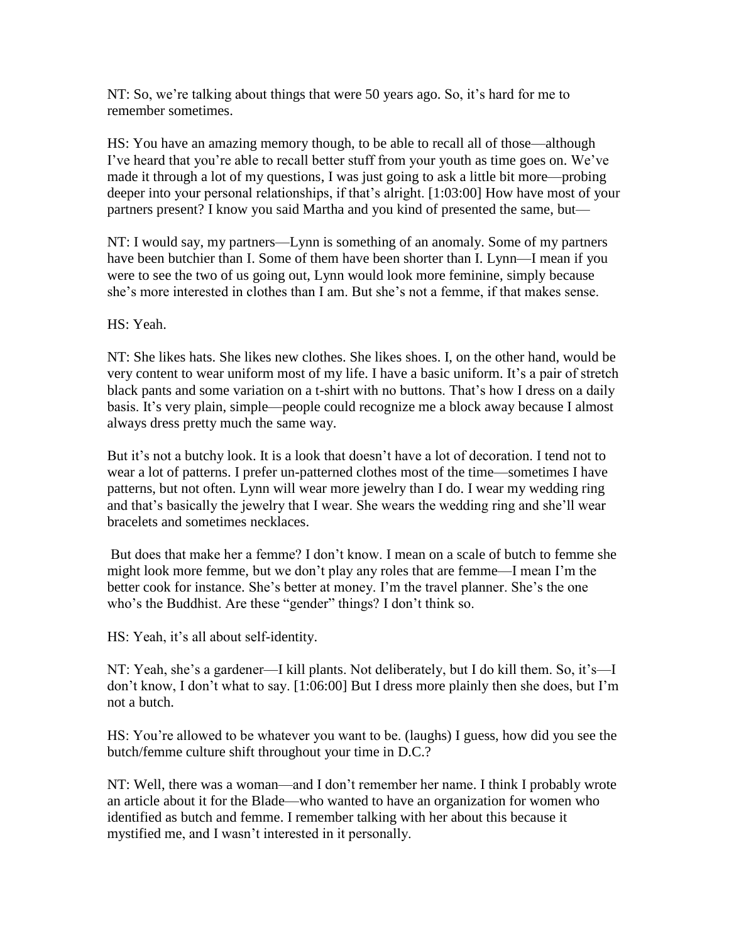NT: So, we're talking about things that were 50 years ago. So, it's hard for me to remember sometimes.

HS: You have an amazing memory though, to be able to recall all of those—although I've heard that you're able to recall better stuff from your youth as time goes on. We've made it through a lot of my questions, I was just going to ask a little bit more—probing deeper into your personal relationships, if that's alright. [1:03:00] How have most of your partners present? I know you said Martha and you kind of presented the same, but—

NT: I would say, my partners—Lynn is something of an anomaly. Some of my partners have been butchier than I. Some of them have been shorter than I. Lynn—I mean if you were to see the two of us going out, Lynn would look more feminine, simply because she's more interested in clothes than I am. But she's not a femme, if that makes sense.

HS: Yeah.

NT: She likes hats. She likes new clothes. She likes shoes. I, on the other hand, would be very content to wear uniform most of my life. I have a basic uniform. It's a pair of stretch black pants and some variation on a t-shirt with no buttons. That's how I dress on a daily basis. It's very plain, simple—people could recognize me a block away because I almost always dress pretty much the same way.

But it's not a butchy look. It is a look that doesn't have a lot of decoration. I tend not to wear a lot of patterns. I prefer un-patterned clothes most of the time—sometimes I have patterns, but not often. Lynn will wear more jewelry than I do. I wear my wedding ring and that's basically the jewelry that I wear. She wears the wedding ring and she'll wear bracelets and sometimes necklaces.

But does that make her a femme? I don't know. I mean on a scale of butch to femme she might look more femme, but we don't play any roles that are femme—I mean I'm the better cook for instance. She's better at money. I'm the travel planner. She's the one who's the Buddhist. Are these "gender" things? I don't think so.

HS: Yeah, it's all about self-identity.

NT: Yeah, she's a gardener—I kill plants. Not deliberately, but I do kill them. So, it's—I don't know, I don't what to say. [1:06:00] But I dress more plainly then she does, but I'm not a butch.

HS: You're allowed to be whatever you want to be. (laughs) I guess, how did you see the butch/femme culture shift throughout your time in D.C.?

NT: Well, there was a woman—and I don't remember her name. I think I probably wrote an article about it for the Blade—who wanted to have an organization for women who identified as butch and femme. I remember talking with her about this because it mystified me, and I wasn't interested in it personally.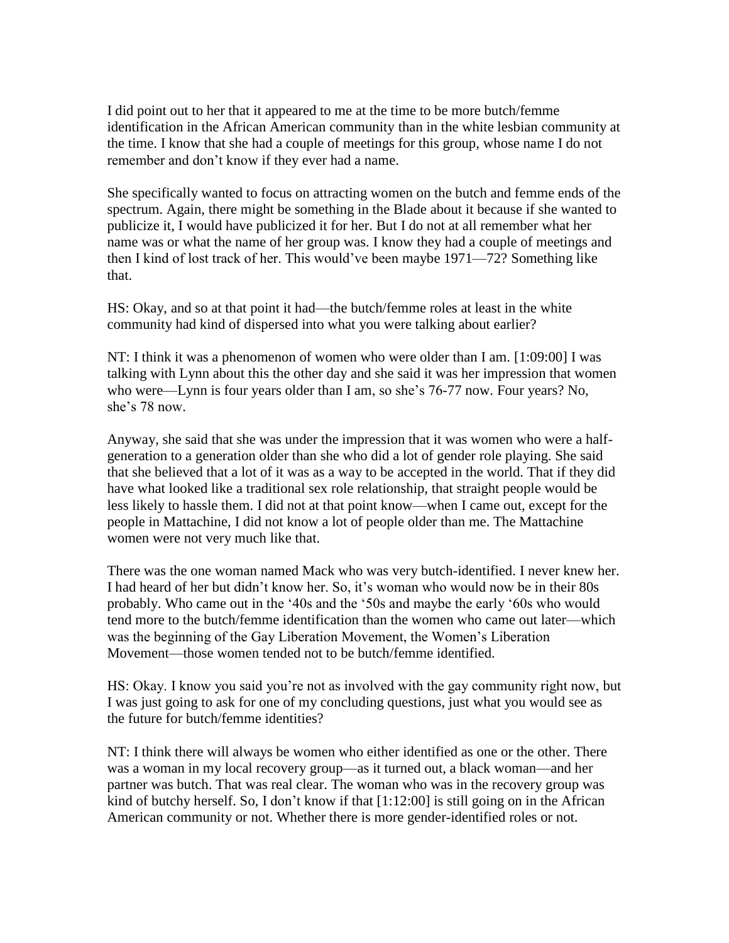I did point out to her that it appeared to me at the time to be more butch/femme identification in the African American community than in the white lesbian community at the time. I know that she had a couple of meetings for this group, whose name I do not remember and don't know if they ever had a name.

She specifically wanted to focus on attracting women on the butch and femme ends of the spectrum. Again, there might be something in the Blade about it because if she wanted to publicize it, I would have publicized it for her. But I do not at all remember what her name was or what the name of her group was. I know they had a couple of meetings and then I kind of lost track of her. This would've been maybe 1971—72? Something like that.

HS: Okay, and so at that point it had—the butch/femme roles at least in the white community had kind of dispersed into what you were talking about earlier?

NT: I think it was a phenomenon of women who were older than I am. [1:09:00] I was talking with Lynn about this the other day and she said it was her impression that women who were—Lynn is four years older than I am, so she's 76-77 now. Four years? No, she's 78 now.

Anyway, she said that she was under the impression that it was women who were a halfgeneration to a generation older than she who did a lot of gender role playing. She said that she believed that a lot of it was as a way to be accepted in the world. That if they did have what looked like a traditional sex role relationship, that straight people would be less likely to hassle them. I did not at that point know—when I came out, except for the people in Mattachine, I did not know a lot of people older than me. The Mattachine women were not very much like that.

There was the one woman named Mack who was very butch-identified. I never knew her. I had heard of her but didn't know her. So, it's woman who would now be in their 80s probably. Who came out in the '40s and the '50s and maybe the early '60s who would tend more to the butch/femme identification than the women who came out later—which was the beginning of the Gay Liberation Movement, the Women's Liberation Movement—those women tended not to be butch/femme identified.

HS: Okay. I know you said you're not as involved with the gay community right now, but I was just going to ask for one of my concluding questions, just what you would see as the future for butch/femme identities?

NT: I think there will always be women who either identified as one or the other. There was a woman in my local recovery group—as it turned out, a black woman—and her partner was butch. That was real clear. The woman who was in the recovery group was kind of butchy herself. So, I don't know if that [1:12:00] is still going on in the African American community or not. Whether there is more gender-identified roles or not.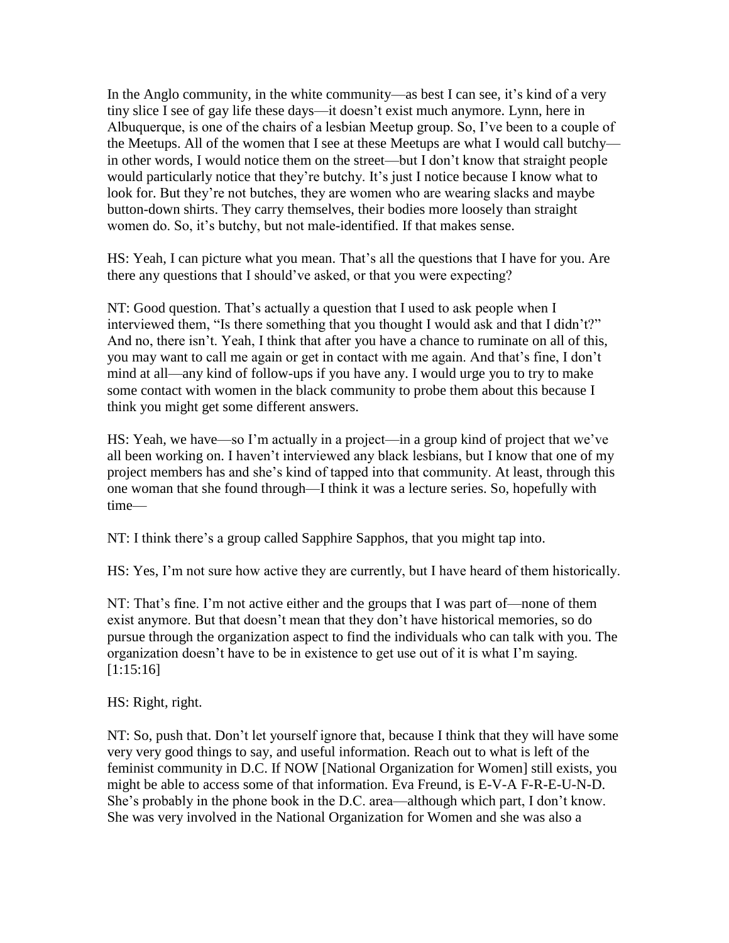In the Anglo community, in the white community—as best I can see, it's kind of a very tiny slice I see of gay life these days—it doesn't exist much anymore. Lynn, here in Albuquerque, is one of the chairs of a lesbian Meetup group. So, I've been to a couple of the Meetups. All of the women that I see at these Meetups are what I would call butchy in other words, I would notice them on the street—but I don't know that straight people would particularly notice that they're butchy. It's just I notice because I know what to look for. But they're not butches, they are women who are wearing slacks and maybe button-down shirts. They carry themselves, their bodies more loosely than straight women do. So, it's butchy, but not male-identified. If that makes sense.

HS: Yeah, I can picture what you mean. That's all the questions that I have for you. Are there any questions that I should've asked, or that you were expecting?

NT: Good question. That's actually a question that I used to ask people when I interviewed them, "Is there something that you thought I would ask and that I didn't?" And no, there isn't. Yeah, I think that after you have a chance to ruminate on all of this, you may want to call me again or get in contact with me again. And that's fine, I don't mind at all—any kind of follow-ups if you have any. I would urge you to try to make some contact with women in the black community to probe them about this because I think you might get some different answers.

HS: Yeah, we have—so I'm actually in a project—in a group kind of project that we've all been working on. I haven't interviewed any black lesbians, but I know that one of my project members has and she's kind of tapped into that community. At least, through this one woman that she found through—I think it was a lecture series. So, hopefully with time—

NT: I think there's a group called Sapphire Sapphos, that you might tap into.

HS: Yes, I'm not sure how active they are currently, but I have heard of them historically.

NT: That's fine. I'm not active either and the groups that I was part of—none of them exist anymore. But that doesn't mean that they don't have historical memories, so do pursue through the organization aspect to find the individuals who can talk with you. The organization doesn't have to be in existence to get use out of it is what I'm saying. [1:15:16]

HS: Right, right.

NT: So, push that. Don't let yourself ignore that, because I think that they will have some very very good things to say, and useful information. Reach out to what is left of the feminist community in D.C. If NOW [National Organization for Women] still exists, you might be able to access some of that information. Eva Freund, is E-V-A F-R-E-U-N-D. She's probably in the phone book in the D.C. area—although which part, I don't know. She was very involved in the National Organization for Women and she was also a